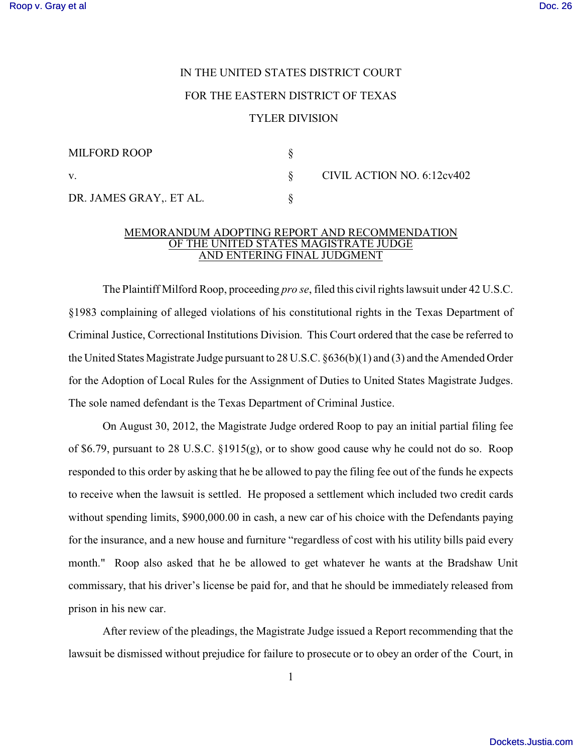## IN THE UNITED STATES DISTRICT COURT FOR THE EASTERN DISTRICT OF TEXAS TYLER DIVISION

| <b>MILFORD ROOP</b>     |  |
|-------------------------|--|
| V.                      |  |
| DR. JAMES GRAY,. ET AL. |  |

CIVIL ACTION NO.  $6:12c\sqrt{402}$ 

## MEMORANDUM ADOPTING REPORT AND RECOMMENDATION OF THE UNITED STATES MAGISTRATE JUDGE AND ENTERING FINAL JUDGMENT

The Plaintiff Milford Roop, proceeding *pro se*, filed this civil rights lawsuit under 42 U.S.C. §1983 complaining of alleged violations of his constitutional rights in the Texas Department of Criminal Justice, Correctional Institutions Division. This Court ordered that the case be referred to the United States Magistrate Judge pursuant to 28 U.S.C. §636(b)(1) and (3) and the Amended Order for the Adoption of Local Rules for the Assignment of Duties to United States Magistrate Judges. The sole named defendant is the Texas Department of Criminal Justice.

On August 30, 2012, the Magistrate Judge ordered Roop to pay an initial partial filing fee of \$6.79, pursuant to 28 U.S.C. §1915(g), or to show good cause why he could not do so. Roop responded to this order by asking that he be allowed to pay the filing fee out of the funds he expects to receive when the lawsuit is settled. He proposed a settlement which included two credit cards without spending limits, \$900,000.00 in cash, a new car of his choice with the Defendants paying for the insurance, and a new house and furniture "regardless of cost with his utility bills paid every month." Roop also asked that he be allowed to get whatever he wants at the Bradshaw Unit commissary, that his driver's license be paid for, and that he should be immediately released from prison in his new car.

After review of the pleadings, the Magistrate Judge issued a Report recommending that the lawsuit be dismissed without prejudice for failure to prosecute or to obey an order of the Court, in